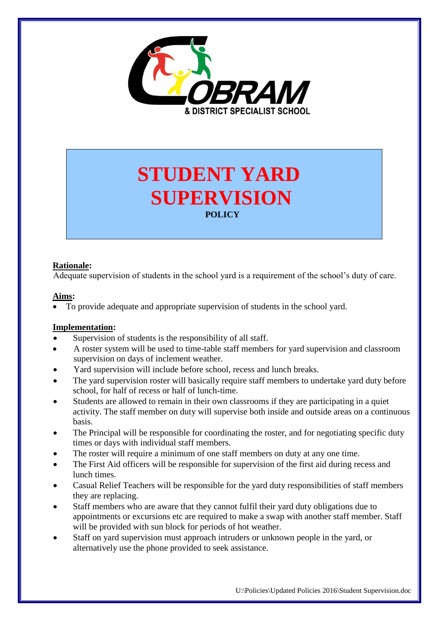

# **STUDENT YARD SUPERVISION POLICY**

### **Rationale:**

Adequate supervision of students in the school yard is a requirement of the school's duty of care.

#### **Aims:**

To provide adequate and appropriate supervision of students in the school yard.

#### **Implementation:**

- Supervision of students is the responsibility of all staff.
- A roster system will be used to time-table staff members for yard supervision and classroom supervision on days of inclement weather.
- Yard supervision will include before school, recess and lunch breaks.
- The yard supervision roster will basically require staff members to undertake yard duty before school, for half of recess or half of lunch-time.
- Students are allowed to remain in their own classrooms if they are participating in a quiet activity. The staff member on duty will supervise both inside and outside areas on a continuous basis.
- The Principal will be responsible for coordinating the roster, and for negotiating specific duty times or days with individual staff members.
- The roster will require a minimum of one staff members on duty at any one time.
- The First Aid officers will be responsible for supervision of the first aid during recess and lunch times.
- Casual Relief Teachers will be responsible for the yard duty responsibilities of staff members they are replacing.
- Staff members who are aware that they cannot fulfil their yard duty obligations due to appointments or excursions etc are required to make a swap with another staff member. Staff will be provided with sun block for periods of hot weather.
- Staff on yard supervision must approach intruders or unknown people in the yard, or alternatively use the phone provided to seek assistance.